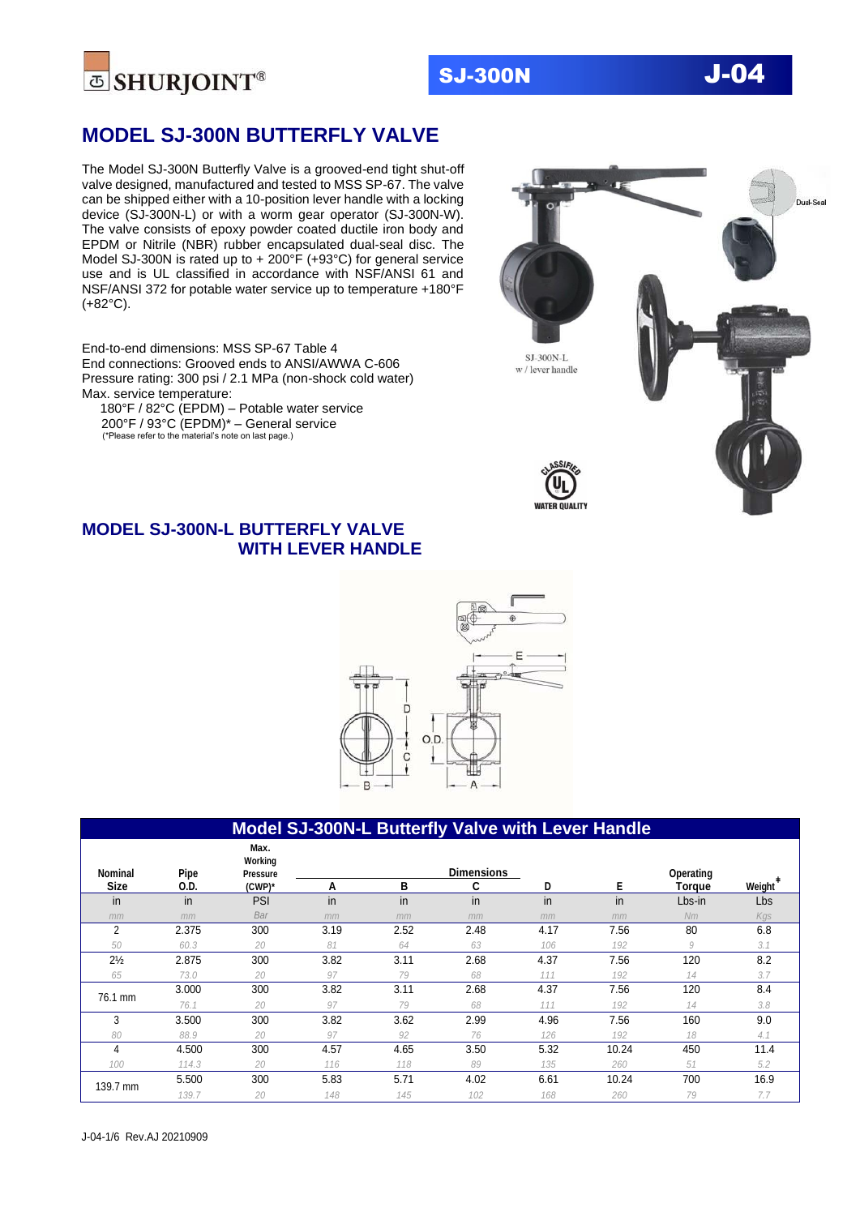

## **MODEL SJ-300N BUTTERFLY VALVE**

The Model SJ-300N Butterfly Valve is a grooved-end tight shut-off valve designed, manufactured and tested to MSS SP-67. The valve can be shipped either with a 10-position lever handle with a locking device (SJ-300N-L) or with a worm gear operator (SJ-300N-W). The valve consists of epoxy powder coated ductile iron body and EPDM or Nitrile (NBR) rubber encapsulated dual-seal disc. The Model SJ-300N is rated up to + 200°F (+93°C) for general service use and is UL classified in accordance with NSF/ANSI 61 and NSF/ANSI 372 for potable water service up to temperature +180°F (+82°C).

End-to-end dimensions: MSS SP-67 Table 4 End connections: Grooved ends to ANSI/AWWA C-606 Pressure rating: 300 psi / 2.1 MPa (non-shock cold water) Max. service temperature:

 180°F / 82°C (EPDM) – Potable water service 200°F / 93°C (EPDM)\* – General service (\*Please refer to the material's note on last page.)





### **MODEL SJ-300N-L BUTTERFLY VALVE WITH LEVER HANDLE**



#### **Model SJ-300N-L Butterfly Valve with Lever Handle**

| Nominal        | Pipe  | Max.<br>Working<br><b>Pressure</b> |      |      | <b>Dimensions</b> |      |       | Operating |               |
|----------------|-------|------------------------------------|------|------|-------------------|------|-------|-----------|---------------|
| <b>Size</b>    | 0.D.  | $(CWP)^*$                          | А    | в    | C                 | D    | Е     | Torque    | <b>Weight</b> |
| in             | in    | <b>PSI</b>                         | in   | in   | in                | in   | in    | Lbs-in    | Lbs           |
| mm             | mm    | Bar                                | mm   | mm   | mm                | mm   | mm    | Nm        | Kgs           |
| $\overline{2}$ | 2.375 | 300                                | 3.19 | 2.52 | 2.48              | 4.17 | 7.56  | 80        | 6.8           |
| 50             | 60.3  | 20                                 | 81   | 64   | 63                | 106  | 192   | 9         | 3.1           |
| $2\frac{1}{2}$ | 2.875 | 300                                | 3.82 | 3.11 | 2.68              | 4.37 | 7.56  | 120       | 8.2           |
| 65             | 73.0  | 20                                 | 97   | 79   | 68                | 111  | 192   | 14        | 3.7           |
| 76.1 mm        | 3.000 | 300                                | 3.82 | 3.11 | 2.68              | 4.37 | 7.56  | 120       | 8.4           |
|                | 76.1  | 20                                 | 97   | 79   | 68                | 111  | 192   | 14        | 3.8           |
| 3              | 3.500 | 300                                | 3.82 | 3.62 | 2.99              | 4.96 | 7.56  | 160       | 9.0           |
| 80             | 88.9  | 20                                 | 97   | 92   | 76                | 126  | 192   | 18        | 4.1           |
| 4              | 4.500 | 300                                | 4.57 | 4.65 | 3.50              | 5.32 | 10.24 | 450       | 11.4          |
| 100            | 114.3 | 20                                 | 116  | 118  | 89                | 135  | 260   | 51        | 5.2           |
|                | 5.500 | 300                                | 5.83 | 5.71 | 4.02              | 6.61 | 10.24 | 700       | 16.9          |
| 139.7 mm       | 139.7 | 20                                 | 148  | 145  | 102               | 168  | 260   | 79        | 7.7           |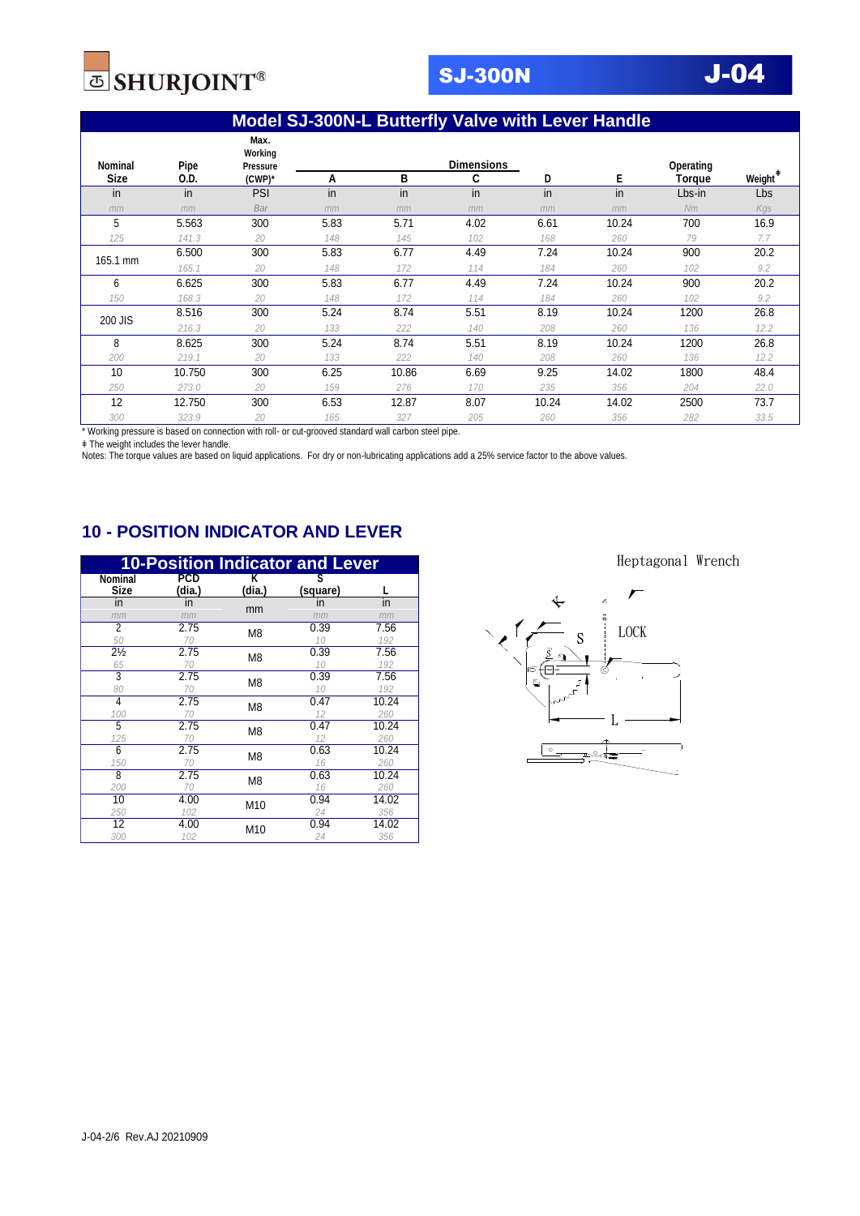

## **Model SJ-300N-L Butterfly Valve with Lever Handle**

| Nominal     | Pipe   | Max.<br>Working<br>Pressure |      |       | <b>Dimensions</b> |       |       | Operating     |                     |
|-------------|--------|-----------------------------|------|-------|-------------------|-------|-------|---------------|---------------------|
| <b>Size</b> | 0.D.   | (CWP)*                      | А    | в     | C                 | D     | Е     | <b>Torque</b> | Weight <sup>#</sup> |
| in          | in     | PSI                         | in   | in    | in                | in    | in    | Lbs-in        | Lbs                 |
| mm          | mm     | Bar                         | mm   | mm    | mm                | mm    | mm    | Nm            | Kgs                 |
| 5           | 5.563  | 300                         | 5.83 | 5.71  | 4.02              | 6.61  | 10.24 | 700           | 16.9                |
| 125         | 141.3  | 20                          | 148  | 145   | 102               | 168   | 260   | 79            | 7.7                 |
|             | 6.500  | 300                         | 5.83 | 6.77  | 4.49              | 7.24  | 10.24 | 900           | 20.2                |
| 165.1 mm    | 165.1  | 20                          | 148  | 172   | 114               | 184   | 260   | 102           | 9.2                 |
| 6           | 6.625  | 300                         | 5.83 | 6.77  | 4.49              | 7.24  | 10.24 | 900           | 20.2                |
| 150         | 168.3  | 20                          | 148  | 172   | 114               | 184   | 260   | 102           | 9.2                 |
| 200 JIS     | 8.516  | 300                         | 5.24 | 8.74  | 5.51              | 8.19  | 10.24 | 1200          | 26.8                |
|             | 216.3  | 20                          | 133  | 222   | 140               | 208   | 260   | 136           | 12.2                |
| 8           | 8.625  | 300                         | 5.24 | 8.74  | 5.51              | 8.19  | 10.24 | 1200          | 26.8                |
| 200         | 219.1  | 20                          | 133  | 222   | 140               | 208   | 260   | 136           | 12.2                |
| 10          | 10.750 | 300                         | 6.25 | 10.86 | 6.69              | 9.25  | 14.02 | 1800          | 48.4                |
| 250         | 273.0  | 20                          | 159  | 276   | 170               | 235   | 356   | 204           | 22.0                |
| 12          | 12.750 | 300                         | 6.53 | 12.87 | 8.07              | 10.24 | 14.02 | 2500          | 73.7                |
| 300         | 323.9  | 20                          | 165  | 327   | 205               | 260   | 356   | 282           | 33.5                |

\* Working pressure is based on connection with roll- or cut-grooved standard wall carbon steel pipe.

ǂ The weight includes the lever handle.

Notes: The torque values are based on liquid applications. For dry or non-lubricating applications add a 25% service factor to the above values.

## **10 - POSITION INDICATOR AND LEVER**

|                        |                      |                 | <b>10-Position Indicator and Lever</b> |       |
|------------------------|----------------------|-----------------|----------------------------------------|-------|
| Nominal<br><b>Size</b> | <b>PCD</b><br>(dia.) | Κ<br>(dia.)     | S<br>(square)                          |       |
| in                     | in                   | mm              | in                                     | in    |
| mm                     | mm                   |                 | mm                                     | mm    |
| 2                      | 2.75                 | M8              | 0.39                                   | 7.56  |
| 50                     | 70                   |                 | 10                                     | 192   |
| $2\frac{1}{2}$         | 2.75                 | M <sub>8</sub>  | 0.39                                   | 7.56  |
| 65                     | 70                   |                 | 10                                     | 192   |
| $\overline{3}$         | 2.75                 | M8              | 0.39                                   | 7.56  |
| 80                     | 70                   |                 | 10                                     | 192   |
| 4                      | 2.75                 | M <sub>8</sub>  | 0.47                                   | 10.24 |
| 100                    | 70                   |                 | 12                                     | 260   |
| 5                      | 2.75                 | M8              | 0.47                                   | 10.24 |
| 125                    | 70                   |                 | 12                                     | 260   |
| 6                      | 2.75                 | M <sub>8</sub>  | 0.63                                   | 10.24 |
| 150                    | 70                   |                 | 16                                     | 260   |
| 8                      | 2.75                 | M <sub>8</sub>  | 0.63                                   | 10.24 |
| 200                    | 70                   |                 | 16                                     | 260   |
| 10                     | 4.00                 | M <sub>10</sub> | 0.94                                   | 14.02 |
| 250                    | 102                  |                 | 24                                     | 356   |
| 12                     | 4.00                 | M <sub>10</sub> | 0.94                                   | 14.02 |
| 300                    | 102                  |                 | 24                                     | 356   |

Heptagonal Wrench

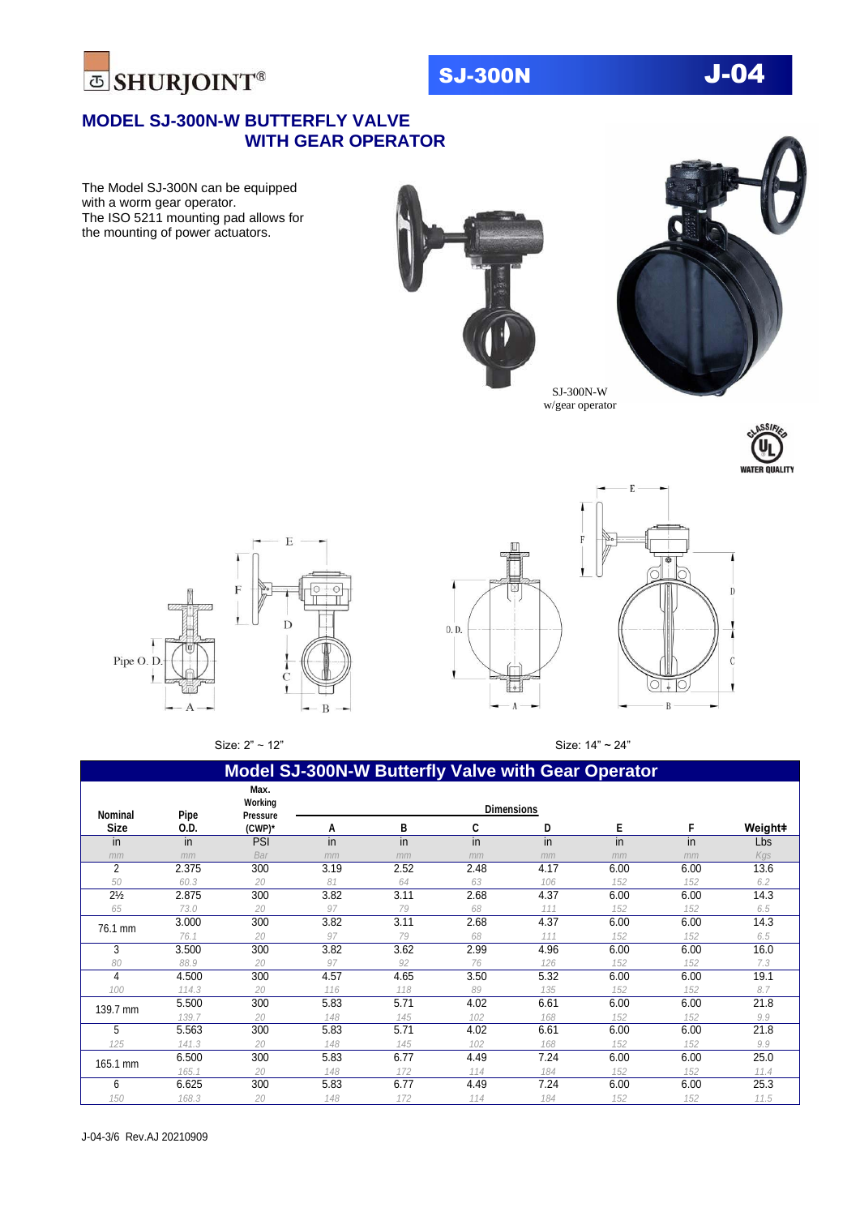



### **MODEL SJ-300N-W BUTTERFLY VALVE WITH GEAR OPERATOR**

The Model SJ-300N can be equipped with a worm gear operator. The ISO 5211 mounting pad allows for the mounting of power actuators.





Œ

 $\Lambda$ 

 $0. D.$ 

 $\mathbf{I}$ 







Size: 2" ~ 12" Size: 14" ~ 24"

 $\circ$  $\overline{B}$ 

| <b>Model SJ-300N-W Butterfly Valve with Gear Operator</b> |       |                                    |                   |      |      |      |      |      |         |
|-----------------------------------------------------------|-------|------------------------------------|-------------------|------|------|------|------|------|---------|
| <b>Nominal</b>                                            | Pipe  | Max.<br>Working<br><b>Pressure</b> | <b>Dimensions</b> |      |      |      |      |      |         |
| <b>Size</b>                                               | 0.D.  | (CWP)*                             | А                 | B    | C    | D    | Е    | F    | Weight# |
| in                                                        | in    | PSI                                | in                | in   | in.  | in   | in   | in   | Lbs     |
| mm                                                        | mm    | Bar                                | mm                | mm   | mm   | mm   | mm   | mm   | Kgs     |
| $\overline{2}$                                            | 2.375 | 300                                | 3.19              | 2.52 | 2.48 | 4.17 | 6.00 | 6.00 | 13.6    |
| 50                                                        | 60.3  | 20                                 | 81                | 64   | 63   | 106  | 152  | 152  | 6.2     |
| $2\frac{1}{2}$                                            | 2.875 | 300                                | 3.82              | 3.11 | 2.68 | 4.37 | 6.00 | 6.00 | 14.3    |
| 65                                                        | 73.0  | 20                                 | 97                | 79   | 68   | 111  | 152  | 152  | 6.5     |
| 76.1 mm                                                   | 3.000 | 300                                | 3.82              | 3.11 | 2.68 | 4.37 | 6.00 | 6.00 | 14.3    |
|                                                           | 76.1  | 20                                 | 97                | 79   | 68   | 111  | 152  | 152  | 6.5     |
| 3                                                         | 3.500 | 300                                | 3.82              | 3.62 | 2.99 | 4.96 | 6.00 | 6.00 | 16.0    |
| 80                                                        | 88.9  | 20                                 | 97                | 92   | 76   | 126  | 152  | 152  | 7.3     |
| 4                                                         | 4.500 | 300                                | 4.57              | 4.65 | 3.50 | 5.32 | 6.00 | 6.00 | 19.1    |
| 100                                                       | 114.3 | 20                                 | 116               | 118  | 89   | 135  | 152  | 152  | 8.7     |
| 139.7 mm                                                  | 5.500 | 300                                | 5.83              | 5.71 | 4.02 | 6.61 | 6.00 | 6.00 | 21.8    |
|                                                           | 139.7 | 20                                 | 148               | 145  | 102  | 168  | 152  | 152  | 9.9     |
| 5                                                         | 5.563 | 300                                | 5.83              | 5.71 | 4.02 | 6.61 | 6.00 | 6.00 | 21.8    |
| 125                                                       | 141.3 | 20                                 | 148               | 145  | 102  | 168  | 152  | 152  | 9.9     |
| 165.1 mm                                                  | 6.500 | 300                                | 5.83              | 6.77 | 4.49 | 7.24 | 6.00 | 6.00 | 25.0    |
|                                                           | 165.1 | 20                                 | 148               | 172  | 114  | 184  | 152  | 152  | 11.4    |
| 6                                                         | 6.625 | 300                                | 5.83              | 6.77 | 4.49 | 7.24 | 6.00 | 6.00 | 25.3    |
| 150                                                       | 168.3 | 20                                 | 148               | 172  | 114  | 184  | 152  | 152  | 11.5    |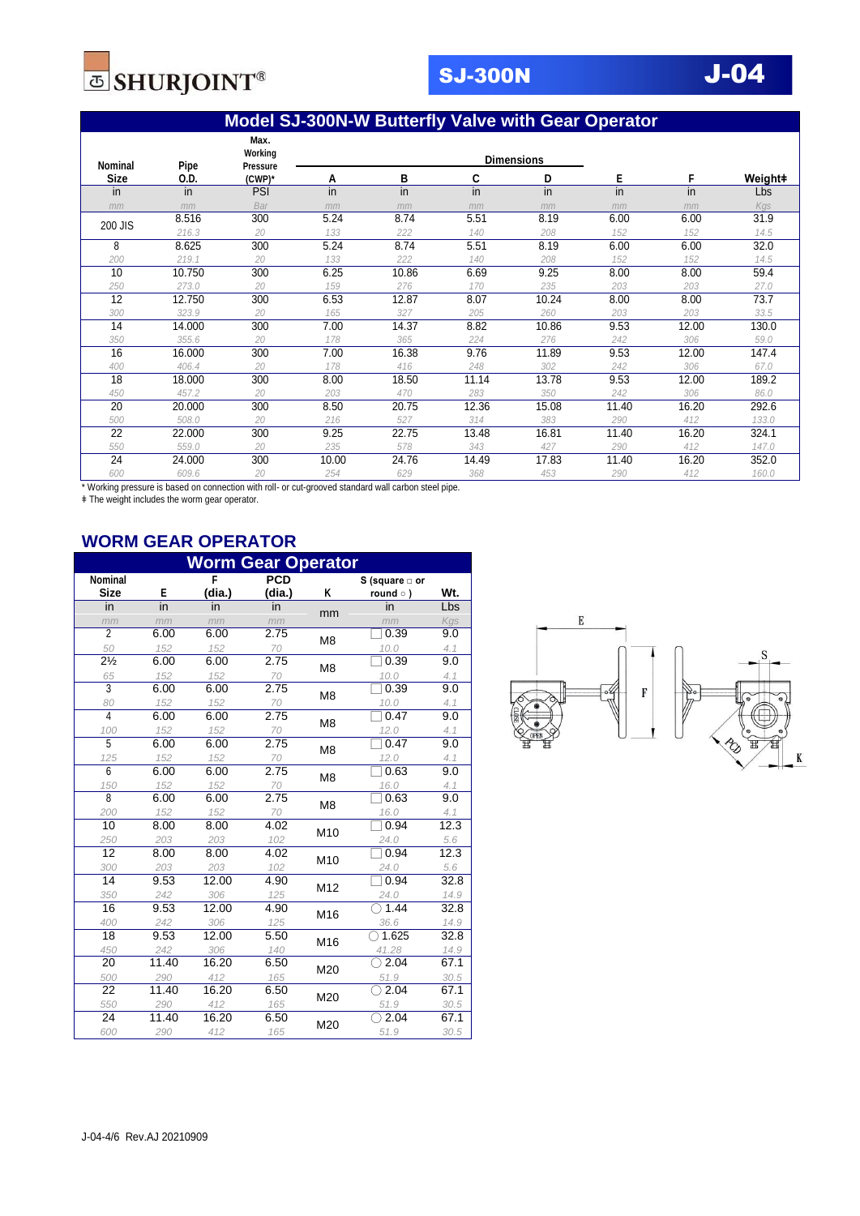

## **Model SJ-300N-W Butterfly Valve with Gear Operator**

|             |        | Max.                       |       |       |       |                   |       |       |                 |
|-------------|--------|----------------------------|-------|-------|-------|-------------------|-------|-------|-----------------|
| Nominal     | Pipe   | Working<br><b>Pressure</b> |       |       |       | <b>Dimensions</b> |       |       |                 |
| <b>Size</b> | 0.D.   | (CWP)*                     | Α     | B     | C     | D                 | Е     | F     | Weight <b>#</b> |
| in          | in     | <b>PSI</b>                 | in    | in    | in    | in                | in    | in    | Lbs             |
| mm          | mm     | Bar                        | mm    | mm    | mm    | mm                | mm    | mm    | Kgs             |
| 200 JIS     | 8.516  | 300                        | 5.24  | 8.74  | 5.51  | 8.19              | 6.00  | 6.00  | 31.9            |
|             | 216.3  | 20                         | 133   | 222   | 140   | 208               | 152   | 152   | 14.5            |
| 8           | 8.625  | 300                        | 5.24  | 8.74  | 5.51  | 8.19              | 6.00  | 6.00  | 32.0            |
| 200         | 219.1  | 20                         | 133   | 222   | 140   | 208               | 152   | 152   | 14.5            |
| 10          | 10.750 | 300                        | 6.25  | 10.86 | 6.69  | 9.25              | 8.00  | 8.00  | 59.4            |
| 250         | 273.0  | 20                         | 159   | 276   | 170   | 235               | 203   | 203   | 27.0            |
| 12          | 12.750 | 300                        | 6.53  | 12.87 | 8.07  | 10.24             | 8.00  | 8.00  | 73.7            |
| 300         | 323.9  | 20                         | 165   | 327   | 205   | 260               | 203   | 203   | 33.5            |
| 14          | 14.000 | 300                        | 7.00  | 14.37 | 8.82  | 10.86             | 9.53  | 12.00 | 130.0           |
| 350         | 355.6  | 20                         | 178   | 365   | 224   | 276               | 242   | 306   | 59.0            |
| 16          | 16.000 | 300                        | 7.00  | 16.38 | 9.76  | 11.89             | 9.53  | 12.00 | 147.4           |
| 400         | 406.4  | 20                         | 178   | 416   | 248   | 302               | 242   | 306   | 67.0            |
| 18          | 18.000 | 300                        | 8.00  | 18.50 | 11.14 | 13.78             | 9.53  | 12.00 | 189.2           |
| 450         | 457.2  | 20                         | 203   | 470   | 283   | 350               | 242   | 306   | 86.0            |
| 20          | 20.000 | 300                        | 8.50  | 20.75 | 12.36 | 15.08             | 11.40 | 16.20 | 292.6           |
| 500         | 508.0  | 20                         | 216   | 527   | 314   | 383               | 290   | 412   | 133.0           |
| 22          | 22.000 | 300                        | 9.25  | 22.75 | 13.48 | 16.81             | 11.40 | 16.20 | 324.1           |
| 550         | 559.0  | 20                         | 235   | 578   | 343   | 427               | 290   | 412   | 147.0           |
| 24          | 24.000 | 300                        | 10.00 | 24.76 | 14.49 | 17.83             | 11.40 | 16.20 | 352.0           |
| 600         | 609.6  | 20                         | 254   | 629   | 368   | 453               | 290   | 412   | 160.0           |

\* Working pressure is based on connection with roll- or cut-grooved standard wall carbon steel pipe.

ǂ The weight includes the worm gear operator.

### **WORM GEAR OPERATOR**

| <b>Worm Gear Operator</b> |       |        |            |                 |                 |      |  |  |
|---------------------------|-------|--------|------------|-----------------|-----------------|------|--|--|
| <b>Nominal</b>            |       | F      | <b>PCD</b> |                 | S (square □ or  |      |  |  |
| <b>Size</b>               | E     | (dia.) | (dia.)     | Κ               | round $\circ$ ) | Wt.  |  |  |
| in                        | in    | in     | in         | mm              | in              | Lbs  |  |  |
| mm                        | mm    | mm     | mm         |                 | mm              | Kgs  |  |  |
| $\overline{2}$            | 6.00  | 6.00   | 2.75       | M <sub>8</sub>  | 0.39            | 9.0  |  |  |
| 50                        | 152   | 152    | 70         |                 | 10.0            | 4.1  |  |  |
| $2\frac{1}{2}$            | 6.00  | 6.00   | 2.75       | M8              | 0.39            | 9.0  |  |  |
| 65                        | 152   | 152    | 70         |                 | 10.0            | 4.1  |  |  |
| 3                         | 6.00  | 6.00   | 2.75       | M <sub>8</sub>  | 0.39            | 9.0  |  |  |
| 80                        | 152   | 152    | 70         |                 | 10.0            | 4.1  |  |  |
| $\overline{4}$            | 6.00  | 6.00   | 2.75       | M <sub>8</sub>  | 0.47            | 9.0  |  |  |
| 100                       | 152   | 152    | 70         |                 | 12.0            | 4.1  |  |  |
| 5                         | 6.00  | 6.00   | 2.75       | M <sub>8</sub>  | 0.47            | 9.0  |  |  |
| 125                       | 152   | 152    | 70         |                 | 12.0            | 4.1  |  |  |
| 6                         | 6.00  | 6.00   | 2.75       | M <sub>8</sub>  | 0.63            | 9.0  |  |  |
| 150                       | 152   | 152    | 70         |                 | 16.0            | 4.1  |  |  |
| $\overline{8}$            | 6.00  | 6.00   | 2.75       | M8              | 0.63            | 9.0  |  |  |
| 200                       | 152   | 152    | 70         |                 | 16.0            | 4.1  |  |  |
| 10                        | 8.00  | 8.00   | 4.02       | M <sub>10</sub> | 0.94            | 12.3 |  |  |
| 250                       | 203   | 203    | 102        |                 | 24.0            | 5.6  |  |  |
| 12                        | 8.00  | 8.00   | 4.02       | M10             | 0.94            | 12.3 |  |  |
| 300                       | 203   | 203    | 102        |                 | 24.0            | 5.6  |  |  |
| 14                        | 9.53  | 12.00  | 4.90       | M12             | 0.94            | 32.8 |  |  |
| 350                       | 242   | 306    | 125        |                 | 24.0            | 14.9 |  |  |
| 16                        | 9.53  | 12.00  | 4.90       | M16             | 1.44            | 32.8 |  |  |
| 400                       | 242   | 306    | 125        |                 | 36.6            | 14.9 |  |  |
| 18                        | 9.53  | 12.00  | 5.50       | M16             | 1.625           | 32.8 |  |  |
| 450                       | 242   | 306    | 140        |                 | 41.28           | 14.9 |  |  |
| 20                        | 11.40 | 16.20  | 6.50       | M20             | 2.04            | 67.1 |  |  |
| 500                       | 290   | 412    | 165        |                 | 51.9            | 30.5 |  |  |
| 22                        | 11.40 | 16.20  | 6.50       | M20             | 2.04            | 67.1 |  |  |
| 550                       | 290   | 412    | 165        |                 | 51.9            | 30.5 |  |  |
| 24                        | 11.40 | 16.20  | 6.50       | M20             | 2.04            | 67.1 |  |  |
| 600                       | 290   | 412    | 165        |                 | 51.9            | 30.5 |  |  |

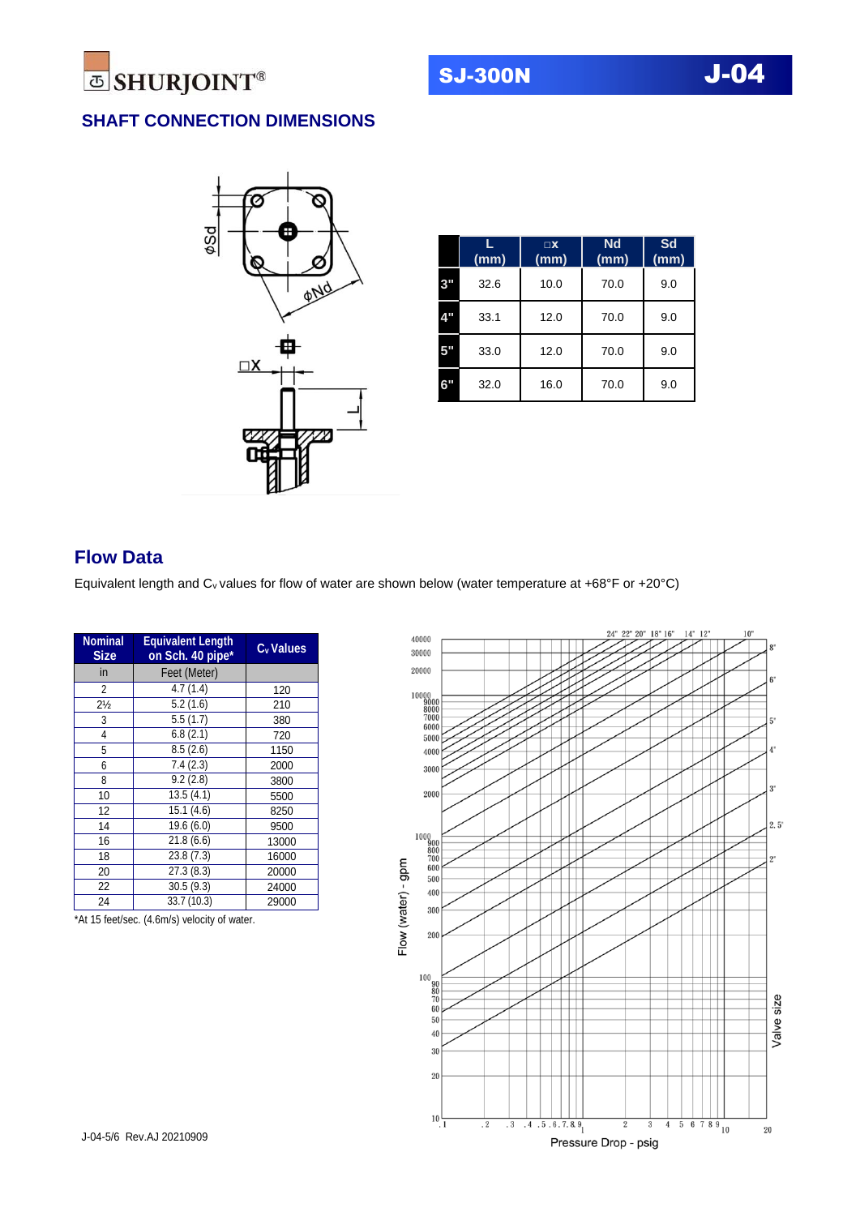

## **SHAFT CONNECTION DIMENSIONS**



|                           | (mm) | $\square$ X<br>(mm) | <b>Nd</b><br>(mm) | Sd<br>(mm) |
|---------------------------|------|---------------------|-------------------|------------|
| 3"                        | 32.6 | 10.0                | 70.0              | 9.0        |
| $\mathbf{d}^{\mathbf{p}}$ | 33.1 | 12.0                | 70.0              | 9.0        |
| 5"                        | 33.0 | 12.0                | 70.0              | 9.0        |
| 6"                        | 32.0 | 16.0                | 70.0              | 9.0        |

## **Flow Data**

Equivalent length and  $C_v$  values for flow of water are shown below (water temperature at +68°F or +20°C)

| <b>Nominal</b><br><b>Size</b> | <b>Equivalent Length</b><br>on Sch. 40 pipe* | C <sub>v</sub> Values |
|-------------------------------|----------------------------------------------|-----------------------|
| in                            | Feet (Meter)                                 |                       |
| 2                             | 4.7(1.4)                                     | 120                   |
| $2\frac{1}{2}$                | 5.2(1.6)                                     | 210                   |
| 3                             | 5.5(1.7)                                     | 380                   |
| 4                             | 6.8(2.1)                                     | 720                   |
| 5                             | 8.5(2.6)                                     | 1150                  |
| 6                             | 7.4(2.3)                                     | 2000                  |
| 8                             | 9.2(2.8)                                     | 3800                  |
| 10                            | 13.5(4.1)                                    | 5500                  |
| 12                            | 15.1(4.6)                                    | 8250                  |
| 14                            | 19.6(6.0)                                    | 9500                  |
| 16                            | 21.8(6.6)                                    | 13000                 |
| 18                            | 23.8(7.3)                                    | 16000                 |
| 20                            | 27.3(8.3)                                    | 20000                 |
| 22                            | 30.5(9.3)                                    | 24000                 |
| 24                            | 33.7 (10.3)                                  | 29000                 |

\*At 15 feet/sec. (4.6m/s) velocity of water.